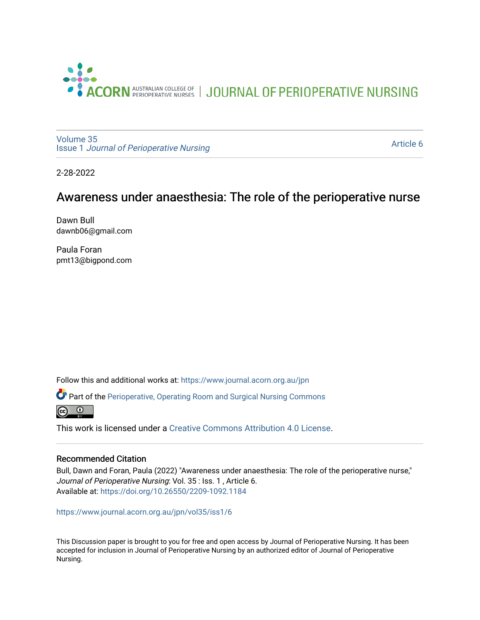

JOURNAL OF PERIOPERATIVE NURSING

[Volume 35](https://www.journal.acorn.org.au/jpn/vol35) Issue 1 [Journal of Perioperative Nursing](https://www.journal.acorn.org.au/jpn/vol35/iss1)

[Article 6](https://www.journal.acorn.org.au/jpn/vol35/iss1/6) 

2-28-2022

# Awareness under anaesthesia: The role of the perioperative nurse

Dawn Bull dawnb06@gmail.com

Paula Foran pmt13@bigpond.com

Follow this and additional works at: [https://www.journal.acorn.org.au/jpn](https://www.journal.acorn.org.au/jpn?utm_source=www.journal.acorn.org.au%2Fjpn%2Fvol35%2Fiss1%2F6&utm_medium=PDF&utm_campaign=PDFCoverPages) 

Part of the [Perioperative, Operating Room and Surgical Nursing Commons](http://network.bepress.com/hgg/discipline/726?utm_source=www.journal.acorn.org.au%2Fjpn%2Fvol35%2Fiss1%2F6&utm_medium=PDF&utm_campaign=PDFCoverPages)



This work is licensed under a [Creative Commons Attribution 4.0 License](https://creativecommons.org/licenses/by/4.0/).

#### Recommended Citation

Bull, Dawn and Foran, Paula (2022) "Awareness under anaesthesia: The role of the perioperative nurse," Journal of Perioperative Nursing: Vol. 35 : Iss. 1, Article 6. Available at:<https://doi.org/10.26550/2209-1092.1184>

[https://www.journal.acorn.org.au/jpn/vol35/iss1/6](10.26550/2209-1092.1184?utm_source=www.journal.acorn.org.au%2Fjpn%2Fvol35%2Fiss1%2F6&utm_medium=PDF&utm_campaign=PDFCoverPages)

This Discussion paper is brought to you for free and open access by Journal of Perioperative Nursing. It has been accepted for inclusion in Journal of Perioperative Nursing by an authorized editor of Journal of Perioperative Nursing.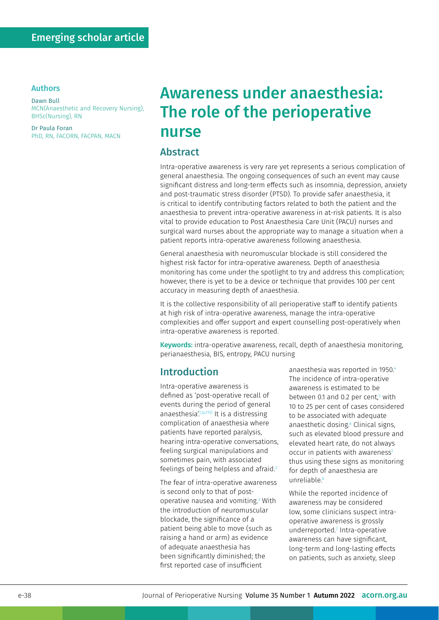#### Authors

Dawn Bull MCN(Anaesthetic and Recovery Nursing), BHSc(Nursing), RN

Dr Paula Foran PhD, RN, FACORN, FACPAN, MACN

# Awareness under anaesthesia: The role of the perioperative nurse

#### Abstract

Intra-operative awareness is very rare yet represents a serious complication of general anaesthesia. The ongoing consequences of such an event may cause significant distress and long-term effects such as insomnia, depression, anxiety and post-traumatic stress disorder (PTSD). To provide safer anaesthesia, it is critical to identify contributing factors related to both the patient and the anaesthesia to prevent intra-operative awareness in at-risk patients. It is also vital to provide education to Post Anaesthesia Care Unit (PACU) nurses and surgical ward nurses about the appropriate way to manage a situation when a patient reports intra-operative awareness following anaesthesia.

General anaesthesia with neuromuscular blockade is still considered the highest risk factor for intra-operative awareness. Depth of anaesthesia monitoring has come under the spotlight to try and address this complication; however, there is yet to be a device or technique that provides 100 per cent accuracy in measuring depth of anaesthesia.

It is the collective responsibility of all perioperative staff to identify patients at high risk of intra-operative awareness, manage the intra-operative complexities and offer support and expert counselling post-operatively when intra-operative awareness is reported.

Keywords: intra-operative awareness, recall, depth of anaesthesia monitoring, perianaesthesia, BIS, entropy, PACU nursing

## Introduction

Intra-operative awareness is defined as 'post-operative recall of events during the period of general anaesthesia<sup>'1,(p.115)</sup> It is a distressing complication of anaesthesia where patients have reported paralysis, hearing intra-operative conversations, feeling surgical manipulations and sometimes pain, with associated feelings of being helpless and afraid.<sup>2</sup>

The fear of intra-operative awareness is second only to that of postoperative nausea and vomiting.3 With the introduction of neuromuscular blockade, the significance of a patient being able to move (such as raising a hand or arm) as evidence of adequate anaesthesia has been significantly diminished; the first reported case of insufficient

anaesthesia was reported in 1950.4 The incidence of intra-operative awareness is estimated to be between 0.1 and 0.2 per cent, 5 with 10 to 25 per cent of cases considered to be associated with adequate anaesthetic dosing.6 Clinical signs, such as elevated blood pressure and elevated heart rate, do not always  $occur$  in patients with awareness<sup>2</sup> thus using these signs as monitoring for depth of anaesthesia are unreliable.<sup>6</sup>

While the reported incidence of awareness may be considered low, some clinicians suspect intraoperative awareness is grossly underreported.<sup>7</sup> Intra-operative awareness can have significant, long-term and long-lasting effects on patients, such as anxiety, sleep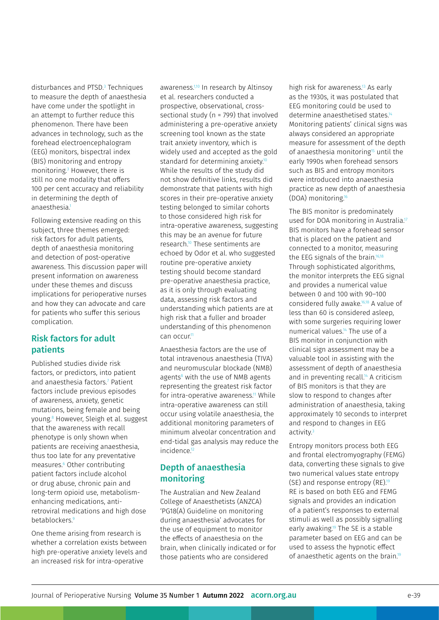disturbances and PTSD.3 Techniques to measure the depth of anaesthesia have come under the spotlight in an attempt to further reduce this phenomenon. There have been advances in technology, such as the forehead electroencephalogram (EEG) monitors, bispectral index (BIS) monitoring and entropy monitoring.3 However, there is still no one modality that offers 100 per cent accuracy and reliability in determining the depth of anaesthesia.1

Following extensive reading on this subject, three themes emerged: risk factors for adult patients, depth of anaesthesia monitoring and detection of post-operative awareness. This discussion paper will present information on awareness under these themes and discuss implications for perioperative nurses and how they can advocate and care for patients who suffer this serious complication.

#### Risk factors for adult patients

Published studies divide risk factors, or predictors, into patient and anaesthesia factors.7 Patient factors include previous episodes of awareness, anxiety, genetic mutations, being female and being young.8 However, Sleigh et al. suggest that the awareness with recall phenotype is only shown when patients are receiving anaesthesia, thus too late for any preventative measures.6 Other contributing patient factors include alcohol or drug abuse, chronic pain and long-term opioid use, metabolismenhancing medications, antiretroviral medications and high dose betablockers.<sup>9</sup>

One theme arising from research is whether a correlation exists between high pre-operative anxiety levels and an increased risk for intra-operative

awareness.<sup>1,10</sup> In research by Altinsoy et al. researchers conducted a prospective, observational, crosssectional study (n = 799) that involved administering a pre-operative anxiety screening tool known as the state trait anxiety inventory, which is widely used and accepted as the gold standard for determining anxiety<sup>10</sup> While the results of the study did not show definitive links, results did demonstrate that patients with high scores in their pre-operative anxiety testing belonged to similar cohorts to those considered high risk for intra-operative awareness, suggesting this may be an avenue for future research.10 These sentiments are echoed by Odor et al. who suggested routine pre-operative anxiety testing should become standard pre-operative anaesthesia practice, as it is only through evaluating data, assessing risk factors and understanding which patients are at high risk that a fuller and broader understanding of this phenomenon can occur<sup>11</sup>

Anaesthesia factors are the use of total intravenous anaesthesia (TIVA) and neuromuscular blockade (NMB) agents<sup>8</sup> with the use of NMB agents representing the greatest risk factor for intra-operative awareness.<sup>11</sup> While intra-operative awareness can still occur using volatile anaesthesia, the additional monitoring parameters of minimum alveolar concentration and end-tidal gas analysis may reduce the incidence<sup>12</sup>

#### Depth of anaesthesia monitoring

The Australian and New Zealand College of Anaesthetists (ANZCA) 'PG18(A) Guideline on monitoring during anaesthesia' advocates for the use of equipment to monitor the effects of anaesthesia on the brain, when clinically indicated or for those patients who are considered

high risk for awareness.<sup>13</sup> As early as the 1930s, it was postulated that EEG monitoring could be used to determine anaesthetised states.14 Monitoring patients' clinical signs was always considered an appropriate measure for assessment of the depth of anaesthesia monitoring<sup>15</sup> until the early 1990s when forehead sensors such as BIS and entropy monitors were introduced into anaesthesia practice as new depth of anaesthesia (DOA) monitoring.16

The BIS monitor is predominately used for DOA monitoring in Australia.<sup>17</sup> BIS monitors have a forehead sensor that is placed on the patient and connected to a monitor, measuring the EEG signals of the brain.<sup>16,18</sup> Through sophisticated algorithms, the monitor interprets the EEG signal and provides a numerical value between 0 and 100 with 90–100 considered fully awake.16,18 A value of less than 60 is considered asleep, with some surgeries requiring lower numerical values.14 The use of a BIS monitor in conjunction with clinical sign assessment may be a valuable tool in assisting with the assessment of depth of anaesthesia and in preventing recall.<sup>14</sup> A criticism of BIS monitors is that they are slow to respond to changes after administration of anaesthesia, taking approximately 10 seconds to interpret and respond to changes in EEG activity.3

Entropy monitors process both EEG and frontal electromyography (FEMG) data, converting these signals to give two numerical values state entropy (SE) and response entropy (RE).<sup>19</sup> RE is based on both EEG and FEMG signals and provides an indication of a patient's responses to external stimuli as well as possibly signalling early awaking.<sup>19</sup> The SE is a stable parameter based on EEG and can be used to assess the hypnotic effect of anaesthetic agents on the brain.<sup>19</sup>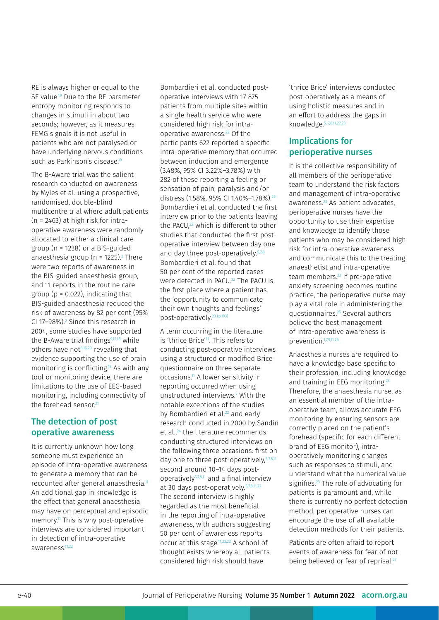RE is always higher or equal to the SE value.<sup>19</sup> Due to the RE parameter entropy monitoring responds to changes in stimuli in about two seconds; however, as it measures FEMG signals it is not useful in patients who are not paralysed or have underlying nervous conditions such as Parkinson's disease<sup>19</sup>

The B-Aware trial was the salient research conducted on awareness by Myles et al. using a prospective, randomised, double-blind multicentre trial where adult patients (n = 2463) at high risk for intraoperative awareness were randomly allocated to either a clinical care group (n = 1238) or a BIS-guided anaesthesia group (n = 1225).<sup>2</sup> There were two reports of awareness in the BIS-guided anaesthesia group, and 11 reports in the routine care group ( $p = 0.022$ ), indicating that BIS-guided anaesthesia reduced the risk of awareness by 82 per cent (95% CI 17–98%).2 Since this research in 2004, some studies have supported the B-Aware trial findings $9,12,18$  while others have not $8,16,20$  revealing that evidence supporting the use of brain monitoring is conflicting.<sup>15</sup> As with any tool or monitoring device, there are limitations to the use of EEG-based monitoring, including connectivity of the forehead sensor.<sup>21</sup>

#### The detection of post operative awareness

It is currently unknown how long someone must experience an episode of intra-operative awareness to generate a memory that can be recounted after general anaesthesia.<sup>11</sup> An additional gap in knowledge is the effect that general anaesthesia may have on perceptual and episodic memory.<sup>11</sup> This is why post-operative interviews are considered important in detection of intra-operative awareness.11,22

Bombardieri et al. conducted postoperative interviews with 17 875 patients from multiple sites within a single health service who were considered high risk for intraoperative awareness.22 Of the participants 622 reported a specific intra-operative memory that occurred between induction and emergence (3.48%, 95% CI 3.22%–3.78%) with 282 of these reporting a feeling or sensation of pain, paralysis and/or distress (1.58%, 95% CI 1.40%-1.78%).<sup>22</sup> Bombardieri et al. conducted the first interview prior to the patients leaving the PACU,<sup>22</sup> which is different to other studies that conducted the first postoperative interview between day one and day three post-operatively<sup>5,7,8</sup> Bombardieri et al. found that 50 per cent of the reported cases were detected in PACU.<sup>22</sup> The PACU is the first place where a patient has the 'opportunity to communicate their own thoughts and feelings' post-operatively.23 (p.193)

A term occurring in the literature is 'thrice Brice'<sup>11</sup>. This refers to conducting post-operative interviews using a structured or modified Brice questionnaire on three separate occasions.11 A lower sensitivity in reporting occurred when using unstructured interviews.7 With the notable exceptions of the studies by Bombardieri et al.<sup>22</sup> and early research conducted in 2000 by Sandin et al.,24 the literature recommends conducting structured interviews on the following three occasions: first on day one to three post-operatively,<sup>5,7,8,11</sup> second around 10–14 days postoperatively5,7,8,11 and a final interview at 30 days post-operatively. 5,7,8,11,22 The second interview is highly regarded as the most beneficial in the reporting of intra-operative awareness, with authors suggesting 50 per cent of awareness reports occur at this stage.11,23,22 A school of thought exists whereby all patients considered high risk should have

'thrice Brice' interviews conducted post-operatively as a means of using holistic measures and in an effort to address the gaps in knowledge.5, 7,8,11,22,23

#### Implications for perioperative nurses

It is the collective responsibility of all members of the perioperative team to understand the risk factors and management of intra-operative awareness.<sup>23</sup> As patient advocates, perioperative nurses have the opportunity to use their expertise and knowledge to identify those patients who may be considered high risk for intra-operative awareness and communicate this to the treating anaesthetist and intra-operative team members.<sup>23</sup> If pre-operative anxiety screening becomes routine practice, the perioperative nurse may play a vital role in administering the questionnaires.25 Several authors believe the best management of intra-operative awareness is prevention.1,7,9,11,26

Anaesthesia nurses are required to have a knowledge base specific to their profession, including knowledge and training in EEG monitoring.<sup>23</sup> Therefore, the anaesthesia nurse, as an essential member of the intraoperative team, allows accurate EEG monitoring by ensuring sensors are correctly placed on the patient's forehead (specific for each different brand of EEG monitor), intraoperatively monitoring changes such as responses to stimuli, and understand what the numerical value signifies.<sup>23</sup> The role of advocating for patients is paramount and, while there is currently no perfect detection method, perioperative nurses can encourage the use of all available detection methods for their patients.

Patients are often afraid to report events of awareness for fear of not being believed or fear of reprisal.<sup>27</sup>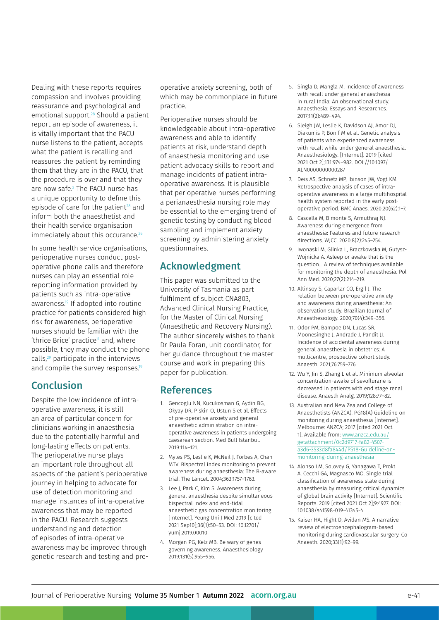Dealing with these reports requires compassion and involves providing reassurance and psychological and emotional support.28 Should a patient report an episode of awareness, it is vitally important that the PACU nurse listens to the patient, accepts what the patient is recalling and reassures the patient by reminding them that they are in the PACU, that the procedure is over and that they are now safe.2 The PACU nurse has a unique opportunity to define this episode of care for the patient $28$  and inform both the anaesthetist and their health service organisation immediately about this occurance.<sup>26</sup>

In some health service organisations, perioperative nurses conduct postoperative phone calls and therefore nurses can play an essential role reporting information provided by patients such as intra-operative awareness.<sup>19</sup> If adopted into routine practice for patients considered high risk for awareness, perioperative nurses should be familiar with the 'thrice Brice' practice<sup>11</sup> and, where possible, they may conduct the phone calls,29 participate in the interviews and compile the survey responses.<sup>19</sup>

### Conclusion

Despite the low incidence of intraoperative awareness, it is still an area of particular concern for clinicians working in anaesthesia due to the potentially harmful and long-lasting effects on patients. The perioperative nurse plays an important role throughout all aspects of the patient's perioperative journey in helping to advocate for use of detection monitoring and manage instances of intra-operative awareness that may be reported in the PACU. Research suggests understanding and detection of episodes of intra-operative awareness may be improved through genetic research and testing and preoperative anxiety screening, both of which may be commonplace in future practice.

Perioperative nurses should be knowledgeable about intra-operative awareness and able to identify patients at risk, understand depth of anaesthesia monitoring and use patient advocacy skills to report and manage incidents of patient intraoperative awareness. It is plausible that perioperative nurses performing a perianaesthesia nursing role may be essential to the emerging trend of genetic testing by conducting blood sampling and implement anxiety screening by administering anxiety questionnaires.

## Acknowledgment

This paper was submitted to the University of Tasmania as part fulfilment of subject CNA803, Advanced Clinical Nursing Practice, for the Master of Clinical Nursing (Anaesthetic and Recovery Nursing). The author sincerely wishes to thank Dr Paula Foran, unit coordinator, for her guidance throughout the master course and work in preparing this paper for publication.

#### References

- 1. Gencoglu NN, Kucukosman G, Aydin BG, Okyay DR, Piskin O, Ustun S et al. Effects of pre-operative anxiety and general anaesthetic administration on intraoperative awareness in patients undergoing caesarean section. Med Bull Istanbul. 2019:114–121.
- 2. Myles PS, Leslie K, McNeil J, Forbes A, Chan MTV. Bispectral index monitoring to prevent awareness during anaesthesia: The B-aware trial. The Lancet. 2004;363:1757–1763.
- 3. Lee J, Park C, Kim S. Awareness during general anaesthesia despite simultaneous bispectral index and end-tidal anaesthetic gas concentration monitoring [Internet]. Yeung Uni J Med 2019 [cited 2021 Sep10];36(1):50–53. DOI: 10.12701/ yumj.2019.00010
- 4. Morgan PG, Kelz MB. Be wary of genes governing awareness. Anaesthesiology 2019;131(5):955–956.
- 5. Singla D, Mangla M. Incidence of awareness with recall under general anaesthesia in rural India: An observational study. Anaesthesia: Essays and Researches. 2017;11(2):489–494.
- 6. Sleigh JW, Leslie K, Davidson AJ, Amor DJ, Diakumis P, Bonif M et al. Genetic analysis of patients who experienced awareness with recall while under general anaesthesia. Anaesthesiology. [Internet]. 2019 [cited 2021 Oct 2];131:974–982. DOI://10.1097/ ALN0000000000287
- 7. Deis AS, Schnetz MP, Ibinson JW, Vogt KM. Retrospective analysis of cases of intraoperative awareness in a large multihospital health system reported in the early postoperative period. BMC Anaes. 2020;20(62):1–7.
- 8. Cascella M, Bimonte S, Armuthraj NJ. Awareness during emergence from anaesthesia: Features and future research directions. WJCC. 2020;8(2):245–254.
- 9. Iwonaski M, Glinka L, Braczkowska M, Gutysz-Wojnicka A. Asleep or awake that is the question… A review of techniques available for monitoring the depth of anaesthesia. Pol Ann Med. 2020;27(2):214–219.
- 10. Altinsoy S, Caparlar CO, Ergil J. The relation between pre-operative anxiety and awareness during anaesthesia: An observation study. Brazilian Journal of Anaesthesiology. 2020;70(4):349–356.
- 11. Odor PM, Bampoe DN, Lucas SR, Moonesinghe J, Andrade J, Pandit JJ. Incidence of accidental awareness during general anaesthesia in obstetrics: A multicentre, prospective cohort study. Anaesth. 2021;76:759–776.
- 12. Wu Y, Jin S, Zhang L et al. Minimum alveolar concentration-awake of sevoflurane is decreased in patients with end stage renal disease. Anaesth Analg. 2019;128:77–82.
- 13. Australian and New Zealand College of Anaesthetists (ANZCA). PG18(A) Guideline on monitoring during anaesthesia [Internet]. Melbourne: ANZCA; 2017 [cited 2021 Oct 1]. Available from: [www.anzca.edu.au/](http://www.anzca.edu.au/getattachment/0c2d9717-fa82-4507-a3d6-3533d8fa844d/PS18-Guideline-on-monitoring-during-anaesthesia) [getattachment/0c2d9717-fa82-4507](http://www.anzca.edu.au/getattachment/0c2d9717-fa82-4507-a3d6-3533d8fa844d/PS18-Guideline-on-monitoring-during-anaesthesia) [a3d6-3533d8fa844d/PS18-Guideline-on](http://www.anzca.edu.au/getattachment/0c2d9717-fa82-4507-a3d6-3533d8fa844d/PS18-Guideline-on-monitoring-during-anaesthesia)[monitoring-during-anaesthesia](http://www.anzca.edu.au/getattachment/0c2d9717-fa82-4507-a3d6-3533d8fa844d/PS18-Guideline-on-monitoring-during-anaesthesia)
- 14. Alonso LM, Solovey G, Yanagawa T, Prokt A, Cecchi GA, Magnasco MO. Single trial classification of awareness state during anaesthesia by measuring critical dynamics of global brain activity [Internet]. Scientific Reports. 2019 [cited 2021 Oct 2];9:4927. DOI: 10.1038/s41598-019-41345-4
- 15. Kaiser HA, Hight D, Avidan MS. A narrative review of electroencephalogram-based monitoring during cardiovascular surgery. Co Anaesth. 2020;33(1):92–99.